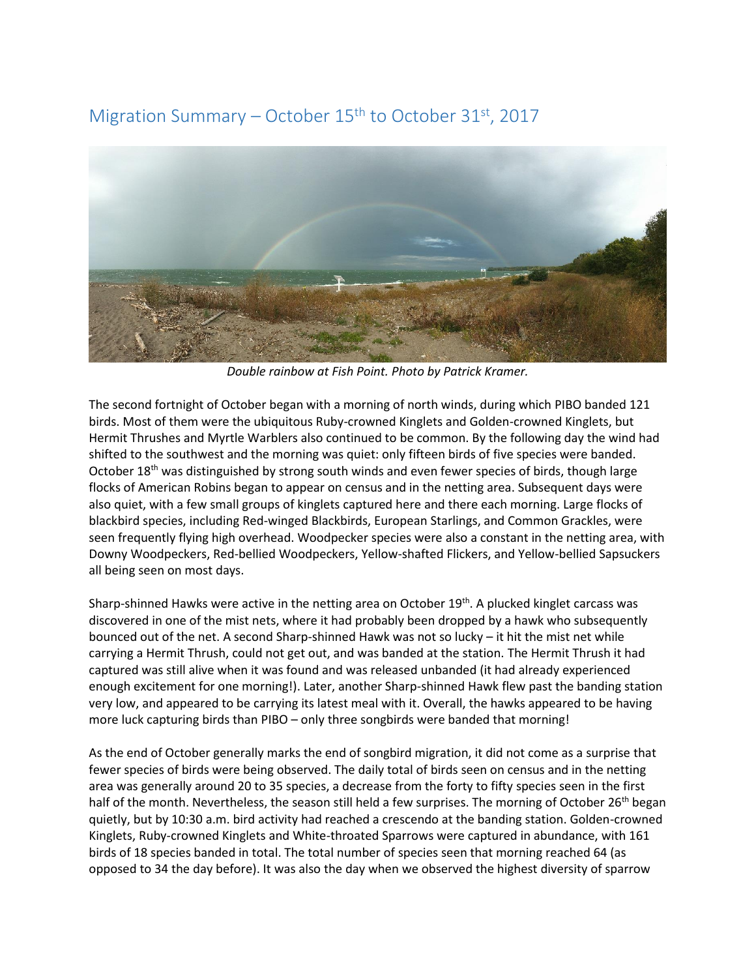## Migration Summary – October  $15<sup>th</sup>$  to October 31<sup>st</sup>, 2017



*Double rainbow at Fish Point. Photo by Patrick Kramer.* 

The second fortnight of October began with a morning of north winds, during which PIBO banded 121 birds. Most of them were the ubiquitous Ruby-crowned Kinglets and Golden-crowned Kinglets, but Hermit Thrushes and Myrtle Warblers also continued to be common. By the following day the wind had shifted to the southwest and the morning was quiet: only fifteen birds of five species were banded. October 18<sup>th</sup> was distinguished by strong south winds and even fewer species of birds, though large flocks of American Robins began to appear on census and in the netting area. Subsequent days were also quiet, with a few small groups of kinglets captured here and there each morning. Large flocks of blackbird species, including Red-winged Blackbirds, European Starlings, and Common Grackles, were seen frequently flying high overhead. Woodpecker species were also a constant in the netting area, with Downy Woodpeckers, Red-bellied Woodpeckers, Yellow-shafted Flickers, and Yellow-bellied Sapsuckers all being seen on most days.

Sharp-shinned Hawks were active in the netting area on October 19<sup>th</sup>. A plucked kinglet carcass was discovered in one of the mist nets, where it had probably been dropped by a hawk who subsequently bounced out of the net. A second Sharp-shinned Hawk was not so lucky – it hit the mist net while carrying a Hermit Thrush, could not get out, and was banded at the station. The Hermit Thrush it had captured was still alive when it was found and was released unbanded (it had already experienced enough excitement for one morning!). Later, another Sharp-shinned Hawk flew past the banding station very low, and appeared to be carrying its latest meal with it. Overall, the hawks appeared to be having more luck capturing birds than PIBO – only three songbirds were banded that morning!

As the end of October generally marks the end of songbird migration, it did not come as a surprise that fewer species of birds were being observed. The daily total of birds seen on census and in the netting area was generally around 20 to 35 species, a decrease from the forty to fifty species seen in the first half of the month. Nevertheless, the season still held a few surprises. The morning of October 26<sup>th</sup> began quietly, but by 10:30 a.m. bird activity had reached a crescendo at the banding station. Golden-crowned Kinglets, Ruby-crowned Kinglets and White-throated Sparrows were captured in abundance, with 161 birds of 18 species banded in total. The total number of species seen that morning reached 64 (as opposed to 34 the day before). It was also the day when we observed the highest diversity of sparrow